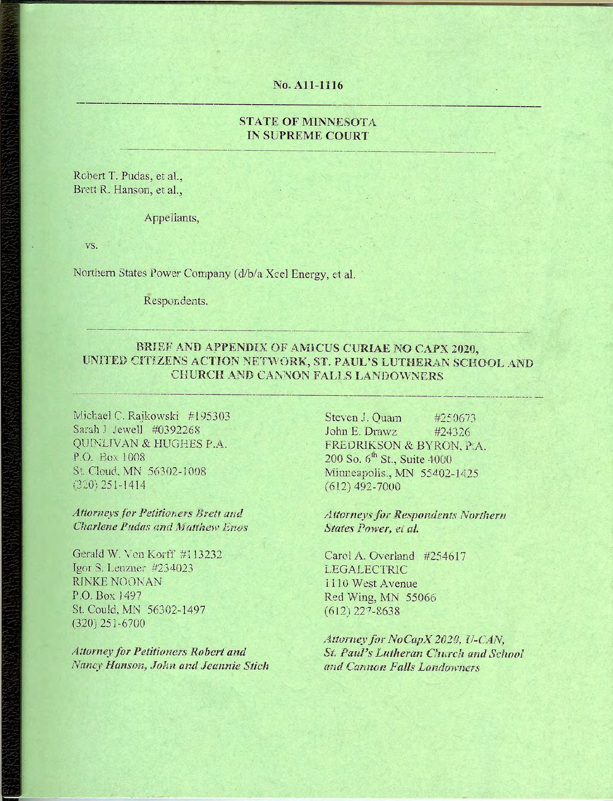#### No. A11-1116

#### **STATE OF MINNESOTA IN SUPREME COURT**

Robert T. Pudas, et al., Brett R. Hanson, et al.,

Appellants,

VS.

Northern States Power Company (d/b/a Xcel Energy, et al.

Respondents.

#### BRIEF AND APPENDIX OF AMICUS CURIAE NO CAPX 2020, UNITED CITIZENS ACTION NETWORK, ST. PAUL'S LUTHERAN SCHOOL AND CHURCH AND CANNON FALLS LANDOWNERS

Michael C. Raikowski #195303 Sarah J Jewell #0392268 QUINLIVAN & HUGHES P.A. P.O. Box 1008 St. Cloud, MN 56302-1008  $(320)$  251-1414

Attorneys for Petitioners Brett and Charlene Pudas and Matthew Enos

Gerald W. Von Korff #113232 Igor S. Lenzner  $\#234023$ RINKE NOONAN P.O. Box 1497 St. Could, MN 56302-1497  $(320)$  251-6700

**Attorney for Petitioners Robert and** Nancy Hanson, John and Jeannie Stich

Steven J. Quam #250673 John E. Drawz #24326 FREDRIKSON & BYRON, P.A. 200 So. 6<sup>th</sup> St., Suite 4000 Minneapolis., MN 55402-1425  $(612)$  492-7000

**Attorneys for Respondents Northern** States Power, et al.

Carol A. Overland #254617 **LEGALECTRIC** 1110 West Avenue Red Wing, MN 55066  $(612)$  227-8638

Attorney for NoCapX 2020, U-CAN, St. Paul's Lutheran Church and School and Cannon Falls Landowners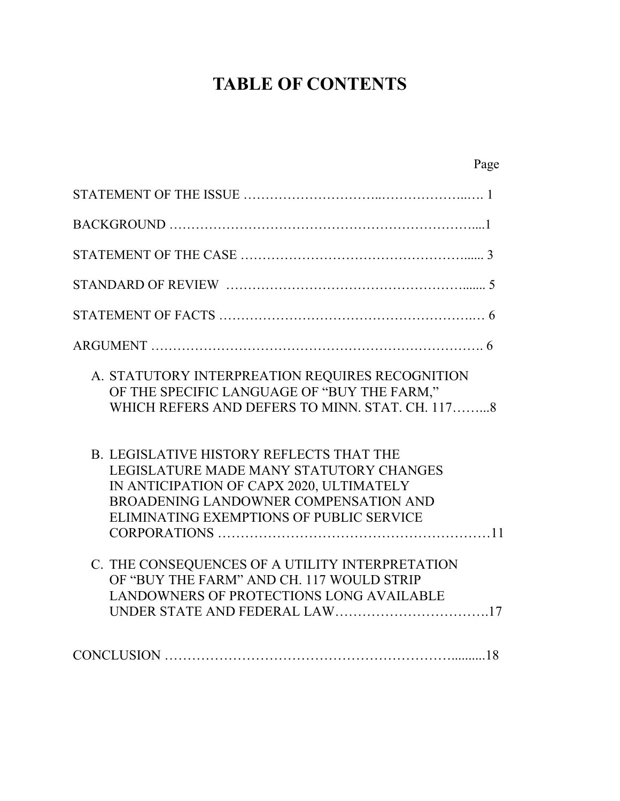# **TABLE OF CONTENTS**

| Page                                                                                                                                                                                                                        |
|-----------------------------------------------------------------------------------------------------------------------------------------------------------------------------------------------------------------------------|
|                                                                                                                                                                                                                             |
|                                                                                                                                                                                                                             |
|                                                                                                                                                                                                                             |
|                                                                                                                                                                                                                             |
|                                                                                                                                                                                                                             |
|                                                                                                                                                                                                                             |
| A. STATUTORY INTERPREATION REQUIRES RECOGNITION<br>OF THE SPECIFIC LANGUAGE OF "BUY THE FARM,"<br>WHICH REFERS AND DEFERS TO MINN. STAT. CH. 1178                                                                           |
| <b>B. LEGISLATIVE HISTORY REFLECTS THAT THE</b><br>LEGISLATURE MADE MANY STATUTORY CHANGES<br>IN ANTICIPATION OF CAPX 2020, ULTIMATELY<br>BROADENING LANDOWNER COMPENSATION AND<br>ELIMINATING EXEMPTIONS OF PUBLIC SERVICE |
| C. THE CONSEQUENCES OF A UTILITY INTERPRETATION<br>OF "BUY THE FARM" AND CH. 117 WOULD STRIP<br>LANDOWNERS OF PROTECTIONS LONG AVAILABLE                                                                                    |
|                                                                                                                                                                                                                             |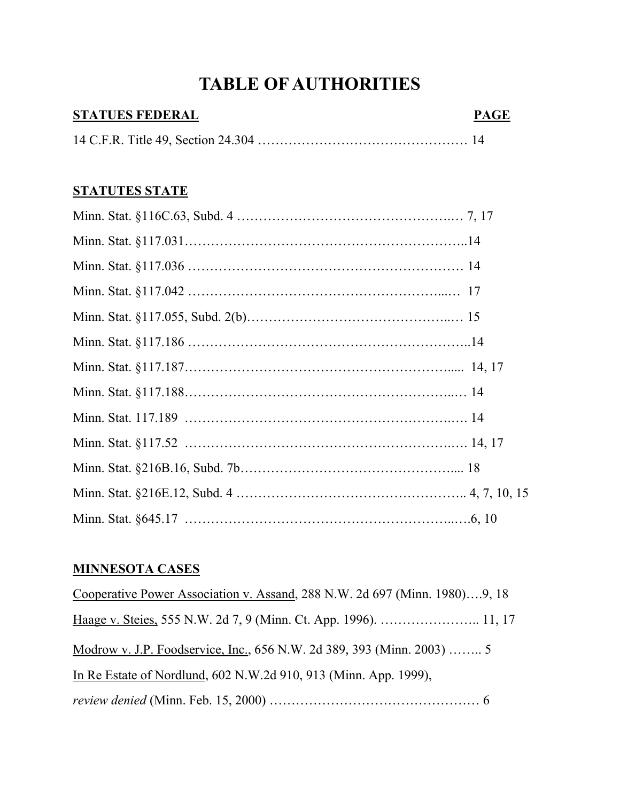# **TABLE OF AUTHORITIES**

# **STATUES FEDERAL PAGE** 14 C.F.R. Title 49, Section 24.304 ………………………………………… 14

### **STATUTES STATE**

# **MINNESOTA CASES**

Cooperative Power Association v. Assand, 288 N.W. 2d 697 (Minn. 1980)….9, 18 Haage v. Steies, 555 N.W. 2d 7, 9 (Minn. Ct. App. 1996). ………………….. 11, 17 Modrow v. J.P. Foodservice, Inc., 656 N.W. 2d 389, 393 (Minn. 2003) …….. 5 In Re Estate of Nordlund, 602 N.W.2d 910, 913 (Minn. App. 1999), *review denied* (Minn. Feb. 15, 2000) ………………………………………… 6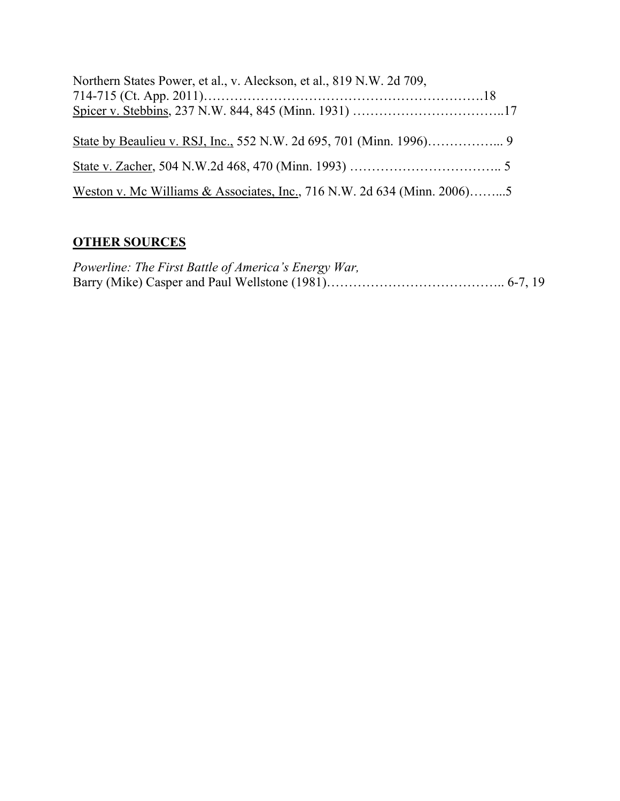| Northern States Power, et al., v. Aleckson, et al., 819 N.W. 2d 709,    |  |
|-------------------------------------------------------------------------|--|
|                                                                         |  |
|                                                                         |  |
|                                                                         |  |
|                                                                         |  |
| Weston v. Mc Williams & Associates, Inc., 716 N.W. 2d 634 (Minn. 2006)5 |  |

# **OTHER SOURCES**

| Powerline: The First Battle of America's Energy War, |  |
|------------------------------------------------------|--|
|                                                      |  |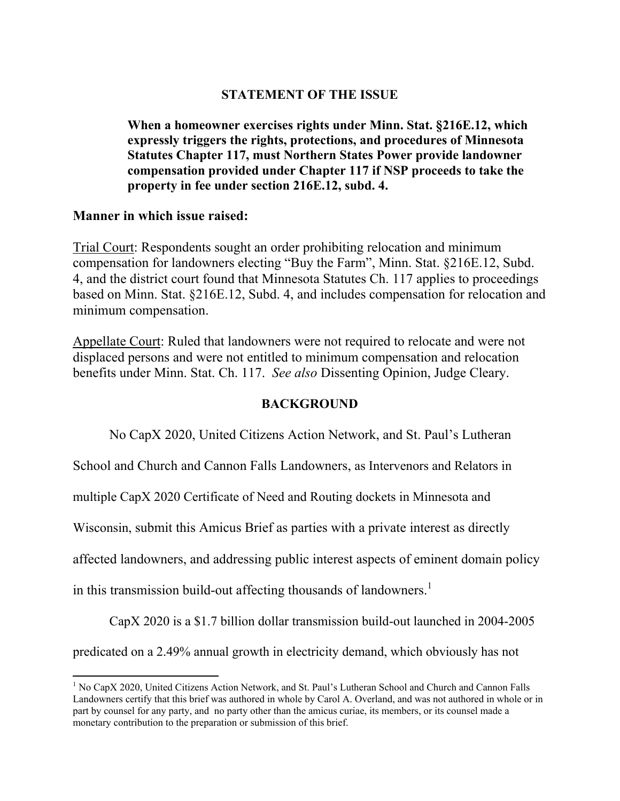#### **STATEMENT OF THE ISSUE**

**When a homeowner exercises rights under Minn. Stat. §216E.12, which expressly triggers the rights, protections, and procedures of Minnesota Statutes Chapter 117, must Northern States Power provide landowner compensation provided under Chapter 117 if NSP proceeds to take the property in fee under section 216E.12, subd. 4.** 

#### **Manner in which issue raised:**

Trial Court: Respondents sought an order prohibiting relocation and minimum compensation for landowners electing "Buy the Farm", Minn. Stat. §216E.12, Subd. 4, and the district court found that Minnesota Statutes Ch. 117 applies to proceedings based on Minn. Stat. §216E.12, Subd. 4, and includes compensation for relocation and minimum compensation.

Appellate Court: Ruled that landowners were not required to relocate and were not displaced persons and were not entitled to minimum compensation and relocation benefits under Minn. Stat. Ch. 117. *See also* Dissenting Opinion, Judge Cleary.

#### **BACKGROUND**

No CapX 2020, United Citizens Action Network, and St. Paul's Lutheran

School and Church and Cannon Falls Landowners, as Intervenors and Relators in

multiple CapX 2020 Certificate of Need and Routing dockets in Minnesota and

Wisconsin, submit this Amicus Brief as parties with a private interest as directly

affected landowners, and addressing public interest aspects of eminent domain policy

in this transmission build-out affecting thousands of landowners.<sup>1</sup>

CapX 2020 is a \$1.7 billion dollar transmission build-out launched in 2004-2005

predicated on a 2.49% annual growth in electricity demand, which obviously has not

 $\overline{a}$ <sup>1</sup> No CapX 2020, United Citizens Action Network, and St. Paul's Lutheran School and Church and Cannon Falls Landowners certify that this brief was authored in whole by Carol A. Overland, and was not authored in whole or in part by counsel for any party, and no party other than the amicus curiae, its members, or its counsel made a monetary contribution to the preparation or submission of this brief.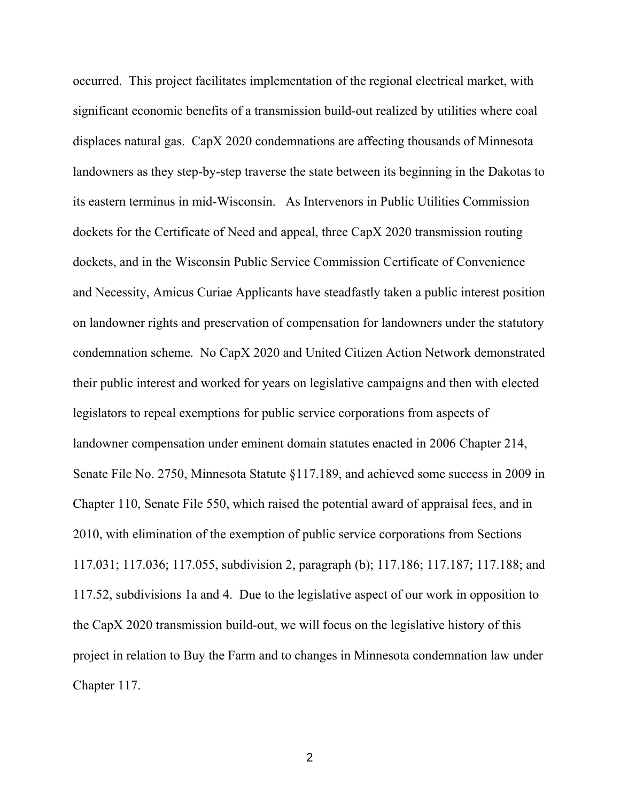occurred. This project facilitates implementation of the regional electrical market, with significant economic benefits of a transmission build-out realized by utilities where coal displaces natural gas. CapX 2020 condemnations are affecting thousands of Minnesota landowners as they step-by-step traverse the state between its beginning in the Dakotas to its eastern terminus in mid-Wisconsin. As Intervenors in Public Utilities Commission dockets for the Certificate of Need and appeal, three CapX 2020 transmission routing dockets, and in the Wisconsin Public Service Commission Certificate of Convenience and Necessity, Amicus Curiae Applicants have steadfastly taken a public interest position on landowner rights and preservation of compensation for landowners under the statutory condemnation scheme. No CapX 2020 and United Citizen Action Network demonstrated their public interest and worked for years on legislative campaigns and then with elected legislators to repeal exemptions for public service corporations from aspects of landowner compensation under eminent domain statutes enacted in 2006 Chapter 214, Senate File No. 2750, Minnesota Statute §117.189, and achieved some success in 2009 in Chapter 110, Senate File 550, which raised the potential award of appraisal fees, and in 2010, with elimination of the exemption of public service corporations from Sections 117.031; 117.036; 117.055, subdivision 2, paragraph (b); 117.186; 117.187; 117.188; and 117.52, subdivisions 1a and 4. Due to the legislative aspect of our work in opposition to the CapX 2020 transmission build-out, we will focus on the legislative history of this project in relation to Buy the Farm and to changes in Minnesota condemnation law under Chapter 117.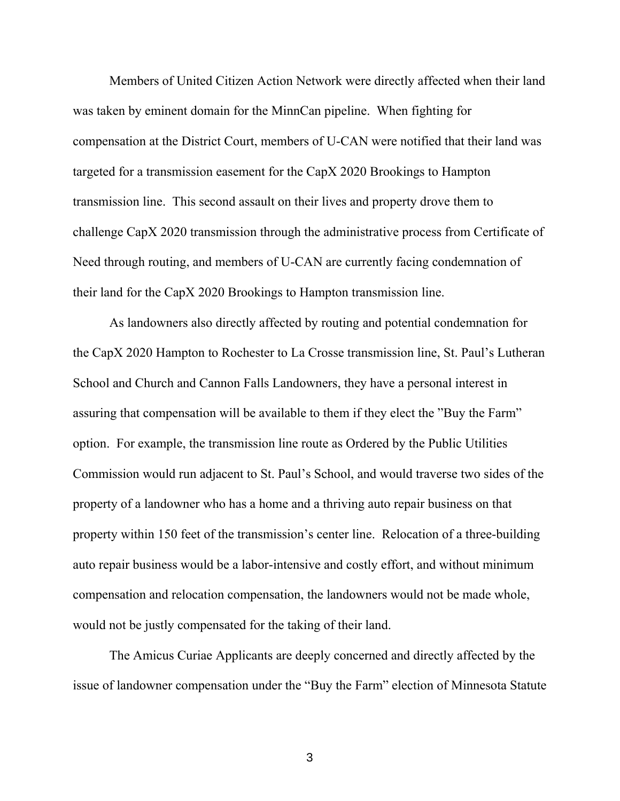Members of United Citizen Action Network were directly affected when their land was taken by eminent domain for the MinnCan pipeline. When fighting for compensation at the District Court, members of U-CAN were notified that their land was targeted for a transmission easement for the CapX 2020 Brookings to Hampton transmission line. This second assault on their lives and property drove them to challenge CapX 2020 transmission through the administrative process from Certificate of Need through routing, and members of U-CAN are currently facing condemnation of their land for the CapX 2020 Brookings to Hampton transmission line.

As landowners also directly affected by routing and potential condemnation for the CapX 2020 Hampton to Rochester to La Crosse transmission line, St. Paul's Lutheran School and Church and Cannon Falls Landowners, they have a personal interest in assuring that compensation will be available to them if they elect the "Buy the Farm" option. For example, the transmission line route as Ordered by the Public Utilities Commission would run adjacent to St. Paul's School, and would traverse two sides of the property of a landowner who has a home and a thriving auto repair business on that property within 150 feet of the transmission's center line. Relocation of a three-building auto repair business would be a labor-intensive and costly effort, and without minimum compensation and relocation compensation, the landowners would not be made whole, would not be justly compensated for the taking of their land.

The Amicus Curiae Applicants are deeply concerned and directly affected by the issue of landowner compensation under the "Buy the Farm" election of Minnesota Statute

3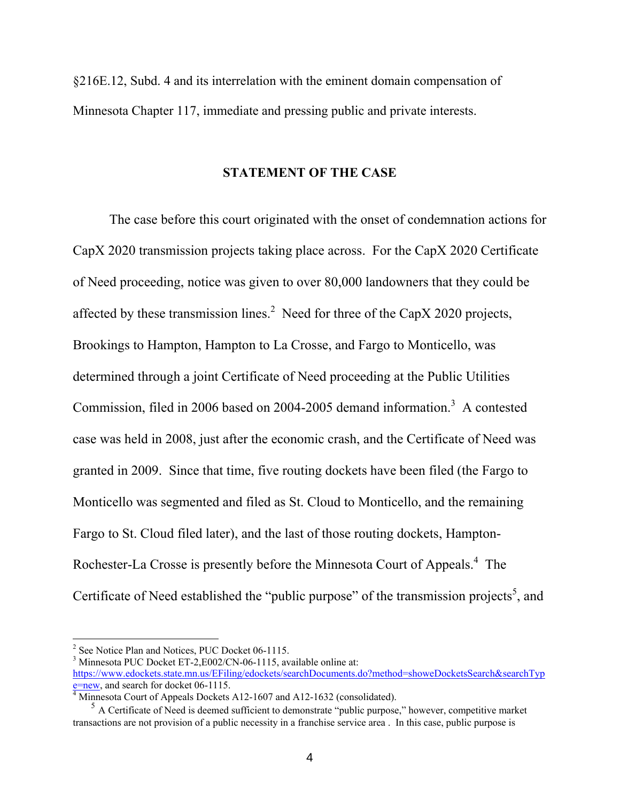§216E.12, Subd. 4 and its interrelation with the eminent domain compensation of Minnesota Chapter 117, immediate and pressing public and private interests.

#### **STATEMENT OF THE CASE**

The case before this court originated with the onset of condemnation actions for CapX 2020 transmission projects taking place across. For the CapX 2020 Certificate of Need proceeding, notice was given to over 80,000 landowners that they could be affected by these transmission lines.<sup>2</sup> Need for three of the CapX 2020 projects, Brookings to Hampton, Hampton to La Crosse, and Fargo to Monticello, was determined through a joint Certificate of Need proceeding at the Public Utilities Commission, filed in 2006 based on 2004-2005 demand information.<sup>3</sup> A contested case was held in 2008, just after the economic crash, and the Certificate of Need was granted in 2009. Since that time, five routing dockets have been filed (the Fargo to Monticello was segmented and filed as St. Cloud to Monticello, and the remaining Fargo to St. Cloud filed later), and the last of those routing dockets, Hampton-Rochester-La Crosse is presently before the Minnesota Court of Appeals.<sup>4</sup> The Certificate of Need established the "public purpose" of the transmission projects<sup>5</sup>, and

<sup>&</sup>lt;sup>2</sup> See Notice Plan and Notices, PUC Docket 06-1115.

<sup>&</sup>lt;sup>3</sup> Minnesota PUC Docket ET-2, E002/CN-06-1115, available online at: [https://www.edockets.state.mn.us/EFiling/edockets/searchDocuments.do?method=showeDocketsSearch&searchTyp](https://www.edockets.state.mn.us/EFiling/edockets/searchDocuments.do?method=showeDocketsSearch&searchType=new) [e=new,](https://www.edockets.state.mn.us/EFiling/edockets/searchDocuments.do?method=showeDocketsSearch&searchType=new) and search for docket 06-1115.

<sup>&</sup>lt;sup>4</sup> Minnesota Court of Appeals Dockets A12-1607 and A12-1632 (consolidated).

<sup>&</sup>lt;sup>5</sup> A Certificate of Need is deemed sufficient to demonstrate "public purpose," however, competitive market transactions are not provision of a public necessity in a franchise service area . In this case, public purpose is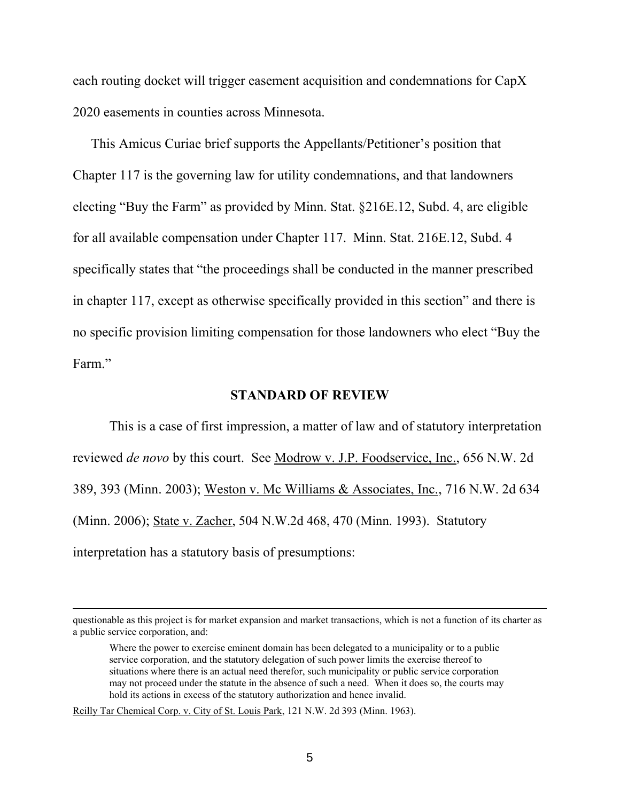each routing docket will trigger easement acquisition and condemnations for CapX 2020 easements in counties across Minnesota.

 This Amicus Curiae brief supports the Appellants/Petitioner's position that Chapter 117 is the governing law for utility condemnations, and that landowners electing "Buy the Farm" as provided by Minn. Stat. §216E.12, Subd. 4, are eligible for all available compensation under Chapter 117. Minn. Stat. 216E.12, Subd. 4 specifically states that "the proceedings shall be conducted in the manner prescribed in chapter 117, except as otherwise specifically provided in this section" and there is no specific provision limiting compensation for those landowners who elect "Buy the Farm."

#### **STANDARD OF REVIEW**

This is a case of first impression, a matter of law and of statutory interpretation reviewed *de novo* by this court. See Modrow v. J.P. Foodservice, Inc., 656 N.W. 2d 389, 393 (Minn. 2003); Weston v. Mc Williams & Associates, Inc., 716 N.W. 2d 634 (Minn. 2006); State v. Zacher, 504 N.W.2d 468, 470 (Minn. 1993). Statutory interpretation has a statutory basis of presumptions:

Reilly Tar Chemical Corp. v. City of St. Louis Park, 121 N.W. 2d 393 (Minn. 1963).

questionable as this project is for market expansion and market transactions, which is not a function of its charter as a public service corporation, and:

Where the power to exercise eminent domain has been delegated to a municipality or to a public service corporation, and the statutory delegation of such power limits the exercise thereof to situations where there is an actual need therefor, such municipality or public service corporation may not proceed under the statute in the absence of such a need. When it does so, the courts may hold its actions in excess of the statutory authorization and hence invalid.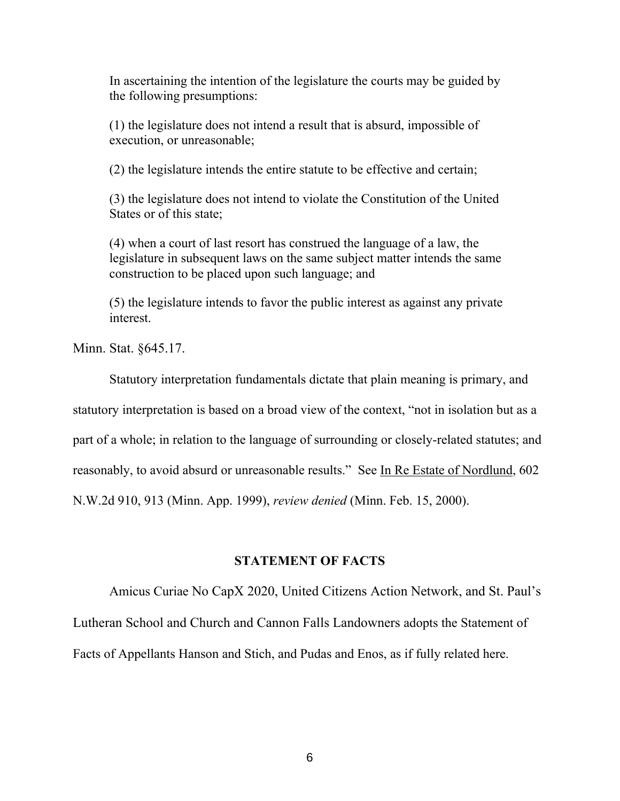In ascertaining the intention of the legislature the courts may be guided by the following presumptions:

(1) the legislature does not intend a result that is absurd, impossible of execution, or unreasonable;

(2) the legislature intends the entire statute to be effective and certain;

(3) the legislature does not intend to violate the Constitution of the United States or of this state;

(4) when a court of last resort has construed the language of a law, the legislature in subsequent laws on the same subject matter intends the same construction to be placed upon such language; and

(5) the legislature intends to favor the public interest as against any private interest.

Minn. Stat. §645.17.

Statutory interpretation fundamentals dictate that plain meaning is primary, and statutory interpretation is based on a broad view of the context, "not in isolation but as a part of a whole; in relation to the language of surrounding or closely-related statutes; and reasonably, to avoid absurd or unreasonable results." See In Re Estate of Nordlund, 602 N.W.2d 910, 913 (Minn. App. 1999), *review denied* (Minn. Feb. 15, 2000).

#### **STATEMENT OF FACTS**

Amicus Curiae No CapX 2020, United Citizens Action Network, and St. Paul's Lutheran School and Church and Cannon Falls Landowners adopts the Statement of Facts of Appellants Hanson and Stich, and Pudas and Enos, as if fully related here.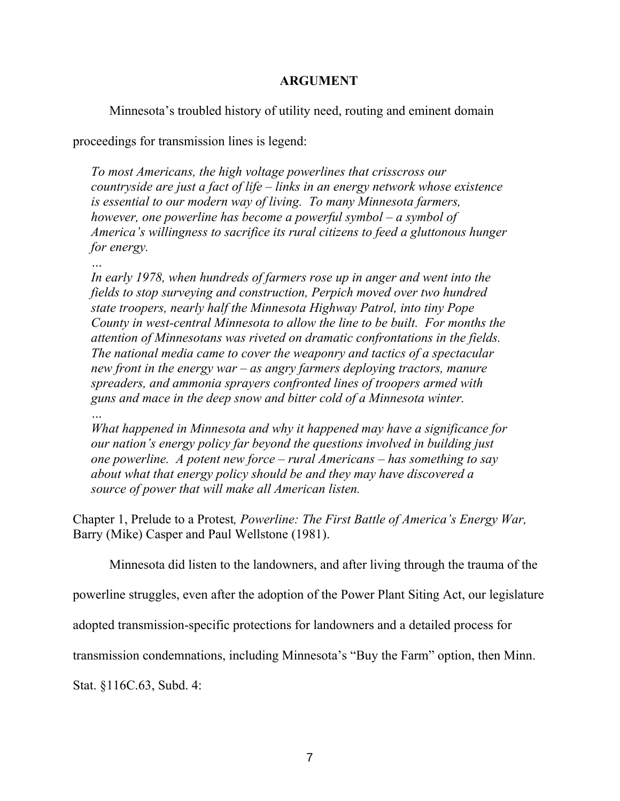### **ARGUMENT**

Minnesota's troubled history of utility need, routing and eminent domain

proceedings for transmission lines is legend:

*To most Americans, the high voltage powerlines that crisscross our countryside are just a fact of life – links in an energy network whose existence is essential to our modern way of living. To many Minnesota farmers, however, one powerline has become a powerful symbol – a symbol of America's willingness to sacrifice its rural citizens to feed a gluttonous hunger for energy.* 

*… In early 1978, when hundreds of farmers rose up in anger and went into the fields to stop surveying and construction, Perpich moved over two hundred state troopers, nearly half the Minnesota Highway Patrol, into tiny Pope County in west-central Minnesota to allow the line to be built. For months the attention of Minnesotans was riveted on dramatic confrontations in the fields. The national media came to cover the weaponry and tactics of a spectacular new front in the energy war – as angry farmers deploying tractors, manure spreaders, and ammonia sprayers confronted lines of troopers armed with guns and mace in the deep snow and bitter cold of a Minnesota winter.* 

*What happened in Minnesota and why it happened may have a significance for our nation's energy policy far beyond the questions involved in building just one powerline. A potent new force – rural Americans – has something to say about what that energy policy should be and they may have discovered a source of power that will make all American listen.* 

Chapter 1, Prelude to a Protest*, Powerline: The First Battle of America's Energy War,*  Barry (Mike) Casper and Paul Wellstone (1981).

Minnesota did listen to the landowners, and after living through the trauma of the

powerline struggles, even after the adoption of the Power Plant Siting Act, our legislature

adopted transmission-specific protections for landowners and a detailed process for

transmission condemnations, including Minnesota's "Buy the Farm" option, then Minn.

Stat. §116C.63, Subd. 4:

*…*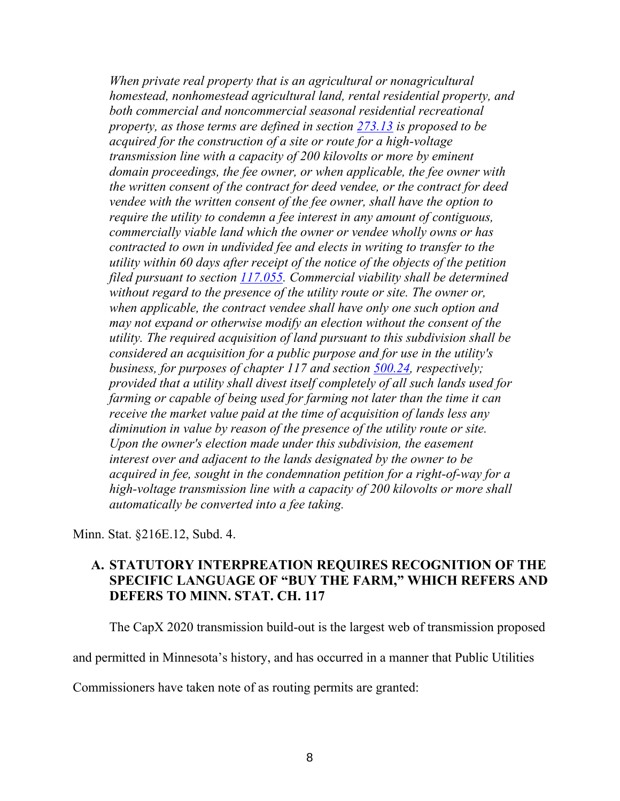*When private real property that is an agricultural or nonagricultural homestead, nonhomestead agricultural land, rental residential property, and both commercial and noncommercial seasonal residential recreational property, as those terms are defined in section [273.13](https://www.revisor.mn.gov/statutes?id=273.13#stat.273.13) is proposed to be acquired for the construction of a site or route for a high-voltage transmission line with a capacity of 200 kilovolts or more by eminent domain proceedings, the fee owner, or when applicable, the fee owner with the written consent of the contract for deed vendee, or the contract for deed vendee with the written consent of the fee owner, shall have the option to require the utility to condemn a fee interest in any amount of contiguous, commercially viable land which the owner or vendee wholly owns or has contracted to own in undivided fee and elects in writing to transfer to the utility within 60 days after receipt of the notice of the objects of the petition filed pursuant to section [117.055.](https://www.revisor.mn.gov/statutes?id=117.055#stat.117.055) Commercial viability shall be determined without regard to the presence of the utility route or site. The owner or, when applicable, the contract vendee shall have only one such option and may not expand or otherwise modify an election without the consent of the utility. The required acquisition of land pursuant to this subdivision shall be considered an acquisition for a public purpose and for use in the utility's business, for purposes of chapter 117 and section [500.24,](https://www.revisor.mn.gov/statutes?id=500.24#stat.500.24) respectively; provided that a utility shall divest itself completely of all such lands used for farming or capable of being used for farming not later than the time it can receive the market value paid at the time of acquisition of lands less any diminution in value by reason of the presence of the utility route or site. Upon the owner's election made under this subdivision, the easement interest over and adjacent to the lands designated by the owner to be acquired in fee, sought in the condemnation petition for a right-of-way for a high-voltage transmission line with a capacity of 200 kilovolts or more shall automatically be converted into a fee taking.* 

Minn. Stat. §216E.12, Subd. 4.

### **A. STATUTORY INTERPREATION REQUIRES RECOGNITION OF THE SPECIFIC LANGUAGE OF "BUY THE FARM," WHICH REFERS AND DEFERS TO MINN. STAT. CH. 117**

The CapX 2020 transmission build-out is the largest web of transmission proposed

and permitted in Minnesota's history, and has occurred in a manner that Public Utilities

Commissioners have taken note of as routing permits are granted: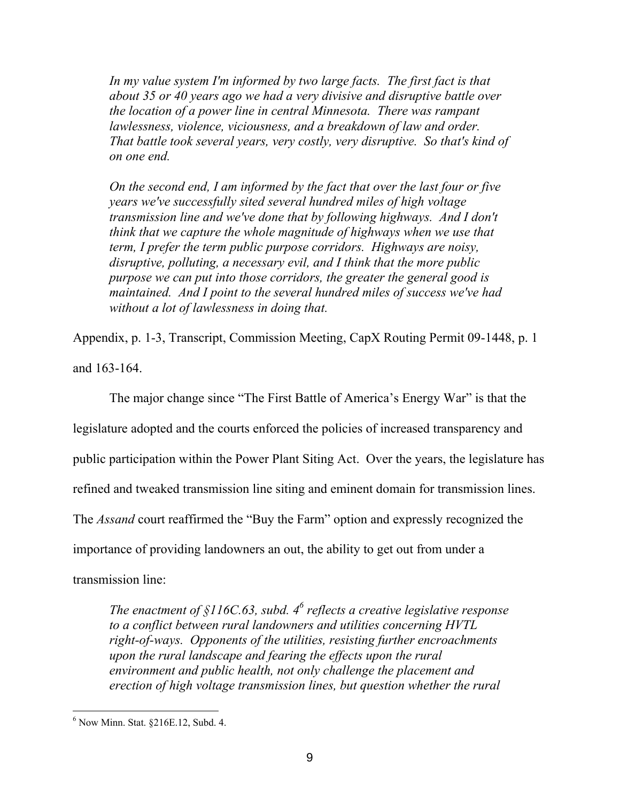In my value system I'm informed by two large facts. The first fact is that *about 35 or 40 years ago we had a very divisive and disruptive battle over the location of a power line in central Minnesota. There was rampant lawlessness, violence, viciousness, and a breakdown of law and order. That battle took several years, very costly, very disruptive. So that's kind of on one end.* 

*On the second end, I am informed by the fact that over the last four or five years we've successfully sited several hundred miles of high voltage transmission line and we've done that by following highways. And I don't think that we capture the whole magnitude of highways when we use that term, I prefer the term public purpose corridors. Highways are noisy, disruptive, polluting, a necessary evil, and I think that the more public purpose we can put into those corridors, the greater the general good is maintained. And I point to the several hundred miles of success we've had without a lot of lawlessness in doing that.* 

Appendix, p. 1-3, Transcript, Commission Meeting, CapX Routing Permit 09-1448, p. 1 and 163-164.

The major change since "The First Battle of America's Energy War" is that the legislature adopted and the courts enforced the policies of increased transparency and public participation within the Power Plant Siting Act. Over the years, the legislature has refined and tweaked transmission line siting and eminent domain for transmission lines. The *Assand* court reaffirmed the "Buy the Farm" option and expressly recognized the importance of providing landowners an out, the ability to get out from under a transmission line:

*The enactment of §116C.63, subd. 4<sup>6</sup> reflects a creative legislative response to a conflict between rural landowners and utilities concerning HVTL right-of-ways. Opponents of the utilities, resisting further encroachments upon the rural landscape and fearing the effects upon the rural environment and public health, not only challenge the placement and erection of high voltage transmission lines, but question whether the rural* 

 $\overline{a}$ 6 Now Minn. Stat. §216E.12, Subd. 4.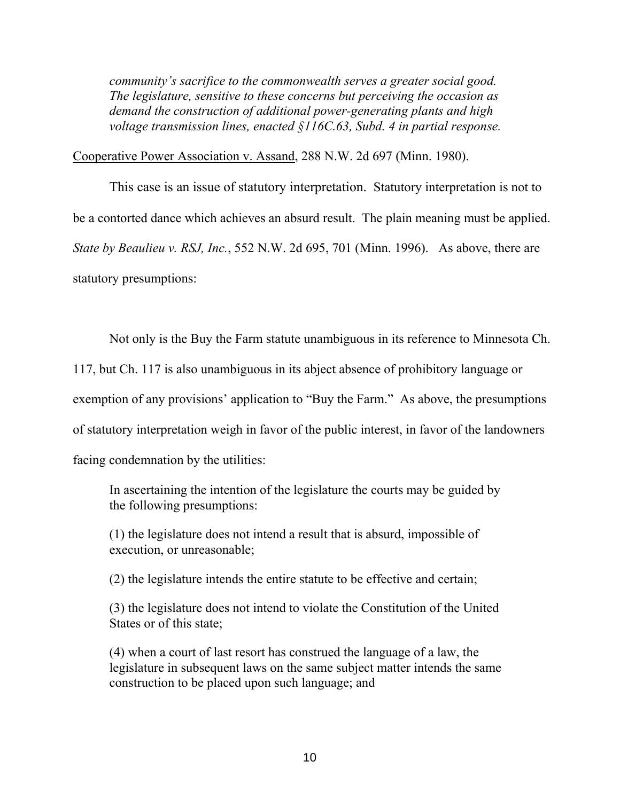*community's sacrifice to the commonwealth serves a greater social good. The legislature, sensitive to these concerns but perceiving the occasion as demand the construction of additional power-generating plants and high voltage transmission lines, enacted §116C.63, Subd. 4 in partial response.* 

Cooperative Power Association v. Assand, 288 N.W. 2d 697 (Minn. 1980).

This case is an issue of statutory interpretation. Statutory interpretation is not to be a contorted dance which achieves an absurd result. The plain meaning must be applied. *State by Beaulieu v. RSJ, Inc.*, 552 N.W. 2d 695, 701 (Minn. 1996). As above, there are statutory presumptions:

Not only is the Buy the Farm statute unambiguous in its reference to Minnesota Ch.

117, but Ch. 117 is also unambiguous in its abject absence of prohibitory language or

exemption of any provisions' application to "Buy the Farm." As above, the presumptions

of statutory interpretation weigh in favor of the public interest, in favor of the landowners

facing condemnation by the utilities:

In ascertaining the intention of the legislature the courts may be guided by the following presumptions:

(1) the legislature does not intend a result that is absurd, impossible of execution, or unreasonable;

(2) the legislature intends the entire statute to be effective and certain;

(3) the legislature does not intend to violate the Constitution of the United States or of this state;

(4) when a court of last resort has construed the language of a law, the legislature in subsequent laws on the same subject matter intends the same construction to be placed upon such language; and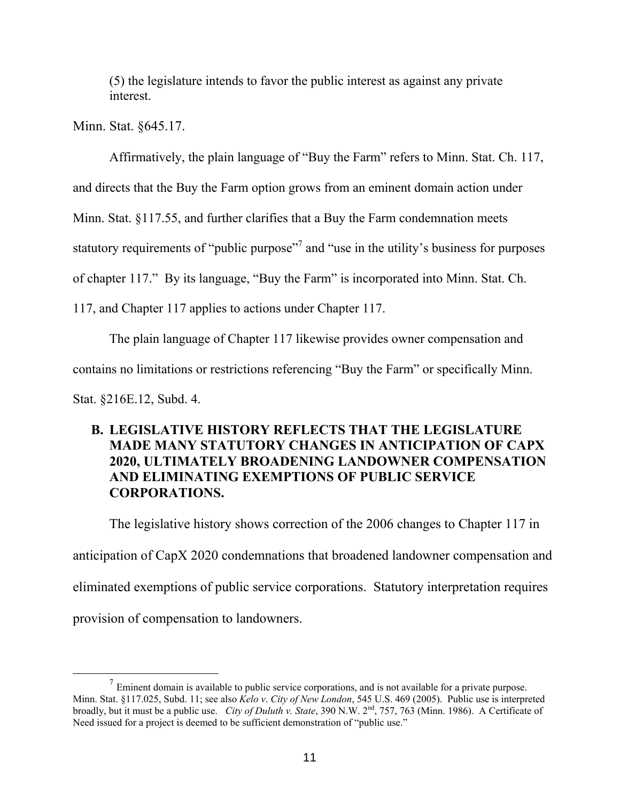(5) the legislature intends to favor the public interest as against any private interest.

Minn. Stat. §645.17.

 $\overline{a}$ 

Affirmatively, the plain language of "Buy the Farm" refers to Minn. Stat. Ch. 117,

and directs that the Buy the Farm option grows from an eminent domain action under

Minn. Stat. §117.55, and further clarifies that a Buy the Farm condemnation meets

statutory requirements of "public purpose"<sup>7</sup> and "use in the utility's business for purposes

of chapter 117." By its language, "Buy the Farm" is incorporated into Minn. Stat. Ch.

117, and Chapter 117 applies to actions under Chapter 117.

The plain language of Chapter 117 likewise provides owner compensation and contains no limitations or restrictions referencing "Buy the Farm" or specifically Minn. Stat. §216E.12, Subd. 4.

# **B. LEGISLATIVE HISTORY REFLECTS THAT THE LEGISLATURE MADE MANY STATUTORY CHANGES IN ANTICIPATION OF CAPX 2020, ULTIMATELY BROADENING LANDOWNER COMPENSATION AND ELIMINATING EXEMPTIONS OF PUBLIC SERVICE CORPORATIONS.**

The legislative history shows correction of the 2006 changes to Chapter 117 in anticipation of CapX 2020 condemnations that broadened landowner compensation and eliminated exemptions of public service corporations. Statutory interpretation requires provision of compensation to landowners.

 $<sup>7</sup>$  Eminent domain is available to public service corporations, and is not available for a private purpose.</sup> Minn. Stat. §117.025, Subd. 11; see also *Kelo v*. *City of New London*, 545 U.S. 469 (2005). Public use is interpreted broadly, but it must be a public use. *City of Duluth v. State*, 390 N.W. 2nd, 757, 763 (Minn. 1986). A Certificate of Need issued for a project is deemed to be sufficient demonstration of "public use."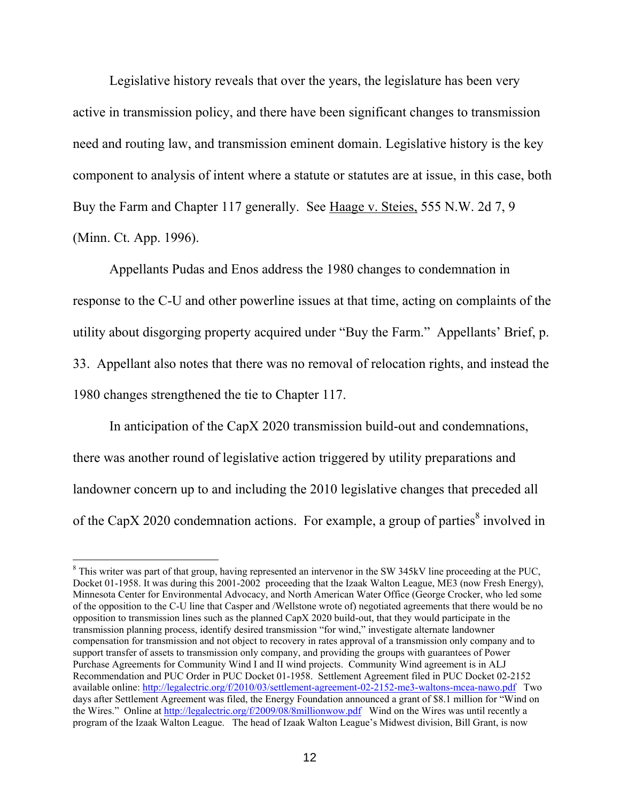Legislative history reveals that over the years, the legislature has been very active in transmission policy, and there have been significant changes to transmission need and routing law, and transmission eminent domain. Legislative history is the key component to analysis of intent where a statute or statutes are at issue, in this case, both Buy the Farm and Chapter 117 generally. See Haage v. Steies, 555 N.W. 2d 7, 9 (Minn. Ct. App. 1996).

Appellants Pudas and Enos address the 1980 changes to condemnation in response to the C-U and other powerline issues at that time, acting on complaints of the utility about disgorging property acquired under "Buy the Farm." Appellants' Brief, p. 33. Appellant also notes that there was no removal of relocation rights, and instead the 1980 changes strengthened the tie to Chapter 117.

In anticipation of the CapX 2020 transmission build-out and condemnations, there was another round of legislative action triggered by utility preparations and landowner concern up to and including the 2010 legislative changes that preceded all of the CapX 2020 condemnation actions. For example, a group of parties<sup>8</sup> involved in

<sup>&</sup>lt;sup>8</sup> This writer was part of that group, having represented an intervenor in the SW 345kV line proceeding at the PUC, Docket 01-1958. It was during this 2001-2002 proceeding that the Izaak Walton League, ME3 (now Fresh Energy), Minnesota Center for Environmental Advocacy, and North American Water Office (George Crocker, who led some of the opposition to the C-U line that Casper and /Wellstone wrote of) negotiated agreements that there would be no opposition to transmission lines such as the planned CapX 2020 build-out, that they would participate in the transmission planning process, identify desired transmission "for wind," investigate alternate landowner compensation for transmission and not object to recovery in rates approval of a transmission only company and to support transfer of assets to transmission only company, and providing the groups with guarantees of Power Purchase Agreements for Community Wind I and II wind projects. Community Wind agreement is in ALJ Recommendation and PUC Order in PUC Docket 01-1958. Settlement Agreement filed in PUC Docket 02-2152 available online:<http://legalectric.org/f/2010/03/settlement-agreement-02-2152-me3-waltons-mcea-nawo.pdf>Two days after Settlement Agreement was filed, the Energy Foundation announced a grant of \$8.1 million for "Wind on the Wires." Online at<http://legalectric.org/f/2009/08/8millionwow.pdf> Wind on the Wires was until recently a program of the Izaak Walton League. The head of Izaak Walton League's Midwest division, Bill Grant, is now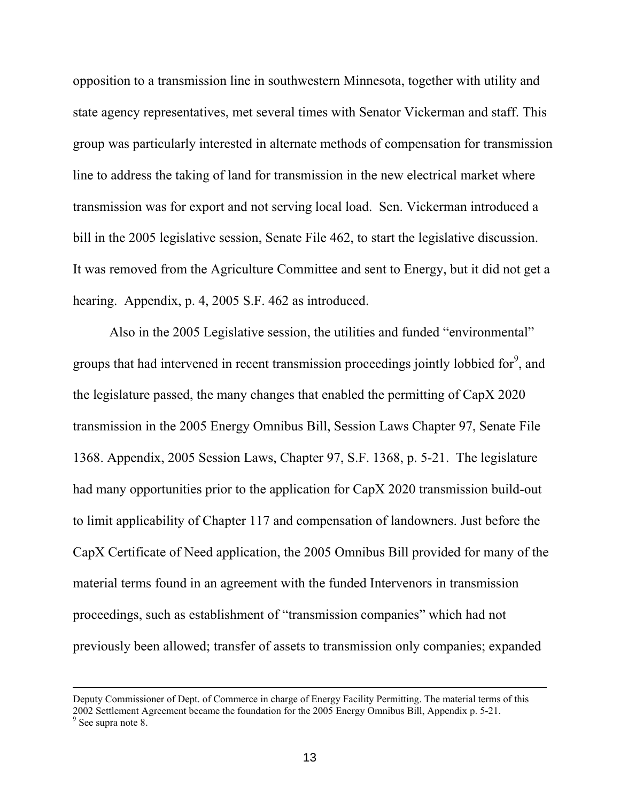opposition to a transmission line in southwestern Minnesota, together with utility and state agency representatives, met several times with Senator Vickerman and staff. This group was particularly interested in alternate methods of compensation for transmission line to address the taking of land for transmission in the new electrical market where transmission was for export and not serving local load. Sen. Vickerman introduced a bill in the 2005 legislative session, Senate File 462, to start the legislative discussion. It was removed from the Agriculture Committee and sent to Energy, but it did not get a hearing. Appendix, p. 4, 2005 S.F. 462 as introduced.

Also in the 2005 Legislative session, the utilities and funded "environmental" groups that had intervened in recent transmission proceedings jointly lobbied for<sup>9</sup>, and the legislature passed, the many changes that enabled the permitting of CapX 2020 transmission in the 2005 Energy Omnibus Bill, Session Laws Chapter 97, Senate File 1368. Appendix, 2005 Session Laws, Chapter 97, S.F. 1368, p. 5-21. The legislature had many opportunities prior to the application for CapX 2020 transmission build-out to limit applicability of Chapter 117 and compensation of landowners. Just before the CapX Certificate of Need application, the 2005 Omnibus Bill provided for many of the material terms found in an agreement with the funded Intervenors in transmission proceedings, such as establishment of "transmission companies" which had not previously been allowed; transfer of assets to transmission only companies; expanded

Deputy Commissioner of Dept. of Commerce in charge of Energy Facility Permitting. The material terms of this 2002 Settlement Agreement became the foundation for the 2005 Energy Omnibus Bill, Appendix p. 5-21. 9 See supra note 8.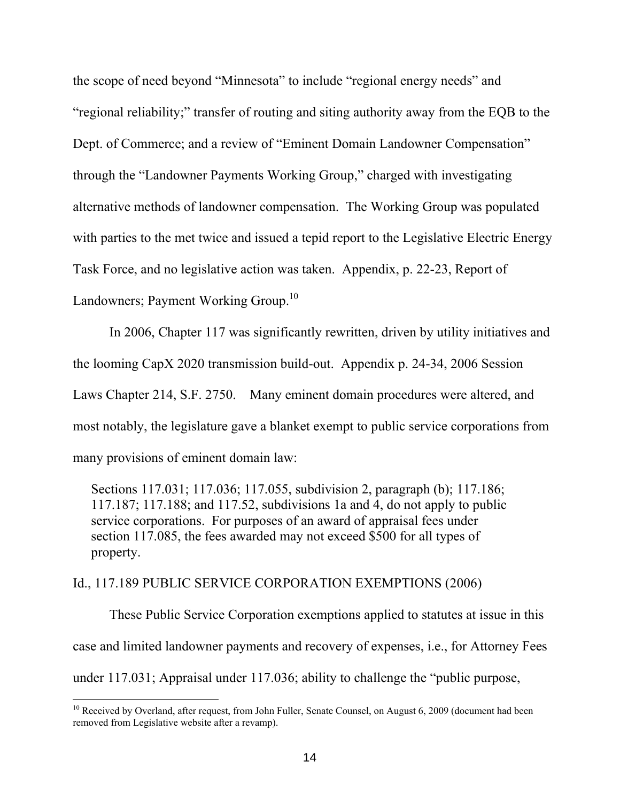the scope of need beyond "Minnesota" to include "regional energy needs" and "regional reliability;" transfer of routing and siting authority away from the EQB to the Dept. of Commerce; and a review of "Eminent Domain Landowner Compensation" through the "Landowner Payments Working Group," charged with investigating alternative methods of landowner compensation. The Working Group was populated with parties to the met twice and issued a tepid report to the Legislative Electric Energy Task Force, and no legislative action was taken. Appendix, p. 22-23, Report of Landowners; Payment Working Group.<sup>10</sup>

 In 2006, Chapter 117 was significantly rewritten, driven by utility initiatives and the looming CapX 2020 transmission build-out. Appendix p. 24-34, 2006 Session Laws Chapter 214, S.F. 2750. Many eminent domain procedures were altered, and most notably, the legislature gave a blanket exempt to public service corporations from many provisions of eminent domain law:

Sections 117.031; 117.036; 117.055, subdivision 2, paragraph (b); 117.186; 117.187; 117.188; and 117.52, subdivisions 1a and 4, do not apply to public service corporations. For purposes of an award of appraisal fees under section 117.085, the fees awarded may not exceed \$500 for all types of property.

#### Id., 117.189 PUBLIC SERVICE CORPORATION EXEMPTIONS (2006)

 $\overline{a}$ 

 These Public Service Corporation exemptions applied to statutes at issue in this case and limited landowner payments and recovery of expenses, i.e., for Attorney Fees under 117.031; Appraisal under 117.036; ability to challenge the "public purpose,

<sup>&</sup>lt;sup>10</sup> Received by Overland, after request, from John Fuller, Senate Counsel, on August 6, 2009 (document had been removed from Legislative website after a revamp).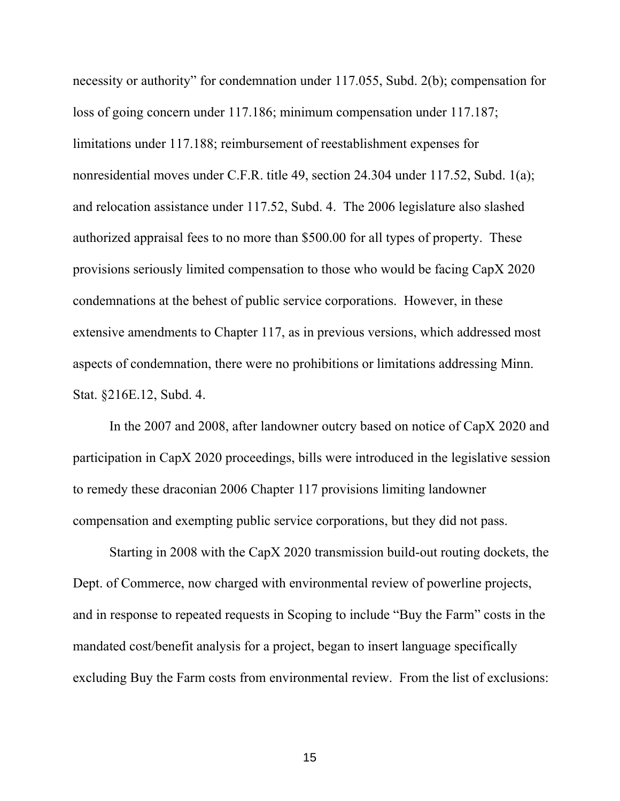necessity or authority" for condemnation under 117.055, Subd. 2(b); compensation for loss of going concern under 117.186; minimum compensation under 117.187; limitations under 117.188; reimbursement of reestablishment expenses for nonresidential moves under C.F.R. title 49, section 24.304 under 117.52, Subd. 1(a); and relocation assistance under 117.52, Subd. 4. The 2006 legislature also slashed authorized appraisal fees to no more than \$500.00 for all types of property. These provisions seriously limited compensation to those who would be facing CapX 2020 condemnations at the behest of public service corporations. However, in these extensive amendments to Chapter 117, as in previous versions, which addressed most aspects of condemnation, there were no prohibitions or limitations addressing Minn. Stat. §216E.12, Subd. 4.

In the 2007 and 2008, after landowner outcry based on notice of CapX 2020 and participation in CapX 2020 proceedings, bills were introduced in the legislative session to remedy these draconian 2006 Chapter 117 provisions limiting landowner compensation and exempting public service corporations, but they did not pass.

 Starting in 2008 with the CapX 2020 transmission build-out routing dockets, the Dept. of Commerce, now charged with environmental review of powerline projects, and in response to repeated requests in Scoping to include "Buy the Farm" costs in the mandated cost/benefit analysis for a project, began to insert language specifically excluding Buy the Farm costs from environmental review. From the list of exclusions:

15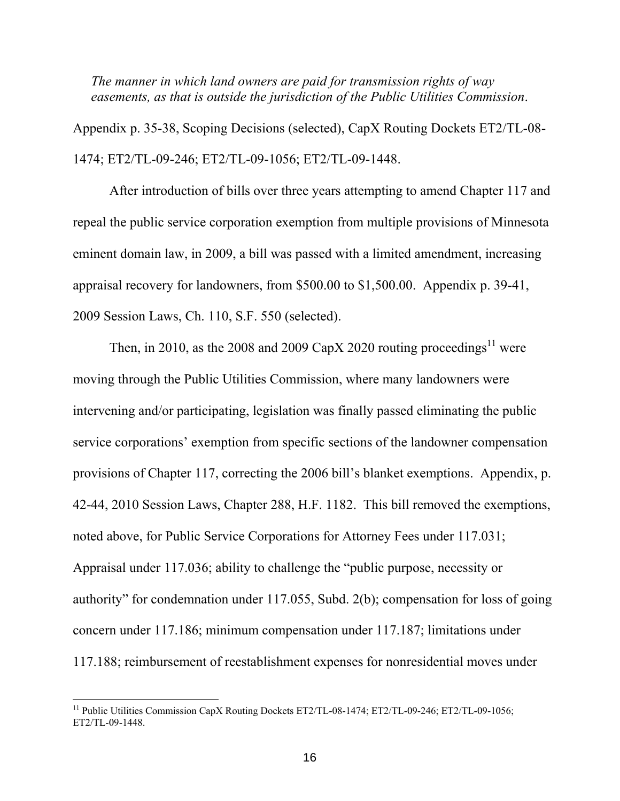*The manner in which land owners are paid for transmission rights of way easements, as that is outside the jurisdiction of the Public Utilities Commission*.

Appendix p. 35-38, Scoping Decisions (selected), CapX Routing Dockets ET2/TL-08- 1474; ET2/TL-09-246; ET2/TL-09-1056; ET2/TL-09-1448.

After introduction of bills over three years attempting to amend Chapter 117 and repeal the public service corporation exemption from multiple provisions of Minnesota eminent domain law, in 2009, a bill was passed with a limited amendment, increasing appraisal recovery for landowners, from \$500.00 to \$1,500.00. Appendix p. 39-41, 2009 Session Laws, Ch. 110, S.F. 550 (selected).

Then, in 2010, as the 2008 and 2009 CapX 2020 routing proceedings<sup>11</sup> were moving through the Public Utilities Commission, where many landowners were intervening and/or participating, legislation was finally passed eliminating the public service corporations' exemption from specific sections of the landowner compensation provisions of Chapter 117, correcting the 2006 bill's blanket exemptions. Appendix, p. 42-44, 2010 Session Laws, Chapter 288, H.F. 1182. This bill removed the exemptions, noted above, for Public Service Corporations for Attorney Fees under 117.031; Appraisal under 117.036; ability to challenge the "public purpose, necessity or authority" for condemnation under 117.055, Subd. 2(b); compensation for loss of going concern under 117.186; minimum compensation under 117.187; limitations under 117.188; reimbursement of reestablishment expenses for nonresidential moves under

<sup>&</sup>lt;sup>11</sup> Public Utilities Commission CapX Routing Dockets ET2/TL-08-1474; ET2/TL-09-246; ET2/TL-09-1056; ET2/TL-09-1448.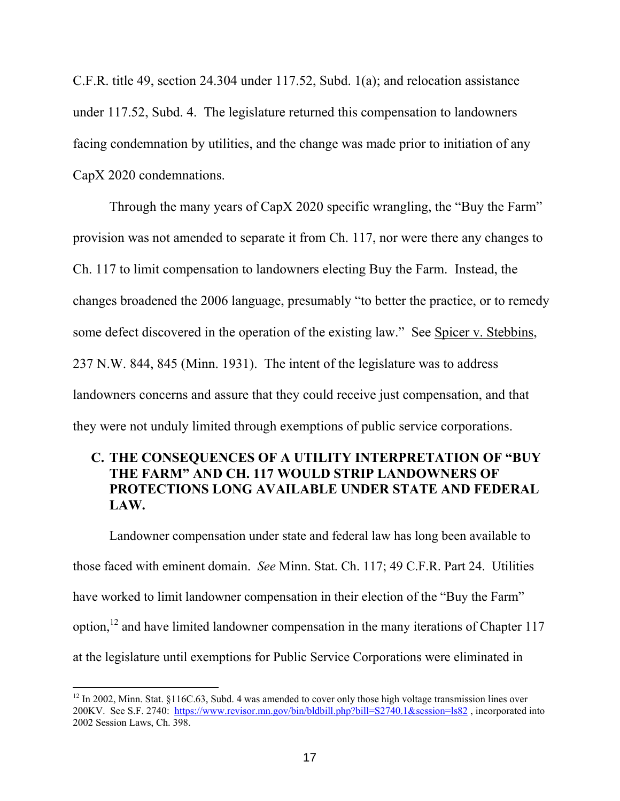C.F.R. title 49, section 24.304 under 117.52, Subd. 1(a); and relocation assistance under 117.52, Subd. 4. The legislature returned this compensation to landowners facing condemnation by utilities, and the change was made prior to initiation of any CapX 2020 condemnations.

 Through the many years of CapX 2020 specific wrangling, the "Buy the Farm" provision was not amended to separate it from Ch. 117, nor were there any changes to Ch. 117 to limit compensation to landowners electing Buy the Farm. Instead, the changes broadened the 2006 language, presumably "to better the practice, or to remedy some defect discovered in the operation of the existing law." See Spicer v. Stebbins, 237 N.W. 844, 845 (Minn. 1931). The intent of the legislature was to address landowners concerns and assure that they could receive just compensation, and that they were not unduly limited through exemptions of public service corporations.

# **C. THE CONSEQUENCES OF A UTILITY INTERPRETATION OF "BUY THE FARM" AND CH. 117 WOULD STRIP LANDOWNERS OF PROTECTIONS LONG AVAILABLE UNDER STATE AND FEDERAL LAW.**

Landowner compensation under state and federal law has long been available to those faced with eminent domain. *See* Minn. Stat. Ch. 117; 49 C.F.R. Part 24. Utilities have worked to limit landowner compensation in their election of the "Buy the Farm" option,<sup>12</sup> and have limited landowner compensation in the many iterations of Chapter 117 at the legislature until exemptions for Public Service Corporations were eliminated in

 $12$  In 2002, Minn. Stat. §116C.63, Subd. 4 was amended to cover only those high voltage transmission lines over 200KV. See S.F. 2740: <https://www.revisor.mn.gov/bin/bldbill.php?bill=S2740.1&session=ls82> , incorporated into 2002 Session Laws, Ch. 398.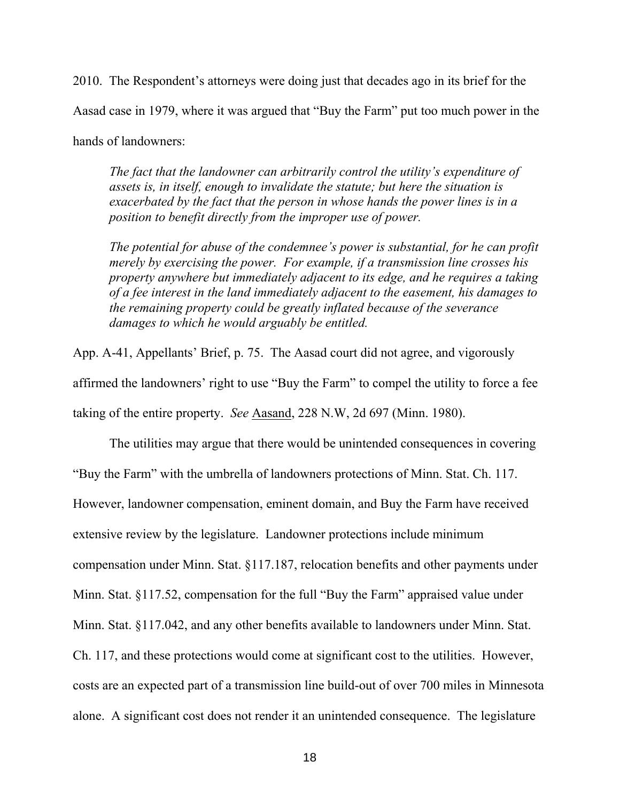2010. The Respondent's attorneys were doing just that decades ago in its brief for the Aasad case in 1979, where it was argued that "Buy the Farm" put too much power in the hands of landowners:

*The fact that the landowner can arbitrarily control the utility's expenditure of assets is, in itself, enough to invalidate the statute; but here the situation is exacerbated by the fact that the person in whose hands the power lines is in a position to benefit directly from the improper use of power.* 

*The potential for abuse of the condemnee's power is substantial, for he can profit merely by exercising the power. For example, if a transmission line crosses his property anywhere but immediately adjacent to its edge, and he requires a taking of a fee interest in the land immediately adjacent to the easement, his damages to the remaining property could be greatly inflated because of the severance damages to which he would arguably be entitled.* 

App. A-41, Appellants' Brief, p. 75. The Aasad court did not agree, and vigorously affirmed the landowners' right to use "Buy the Farm" to compel the utility to force a fee taking of the entire property. *See* Aasand, 228 N.W, 2d 697 (Minn. 1980).

 The utilities may argue that there would be unintended consequences in covering "Buy the Farm" with the umbrella of landowners protections of Minn. Stat. Ch. 117. However, landowner compensation, eminent domain, and Buy the Farm have received extensive review by the legislature. Landowner protections include minimum compensation under Minn. Stat. §117.187, relocation benefits and other payments under Minn. Stat. §117.52, compensation for the full "Buy the Farm" appraised value under Minn. Stat. §117.042, and any other benefits available to landowners under Minn. Stat. Ch. 117, and these protections would come at significant cost to the utilities. However, costs are an expected part of a transmission line build-out of over 700 miles in Minnesota alone. A significant cost does not render it an unintended consequence. The legislature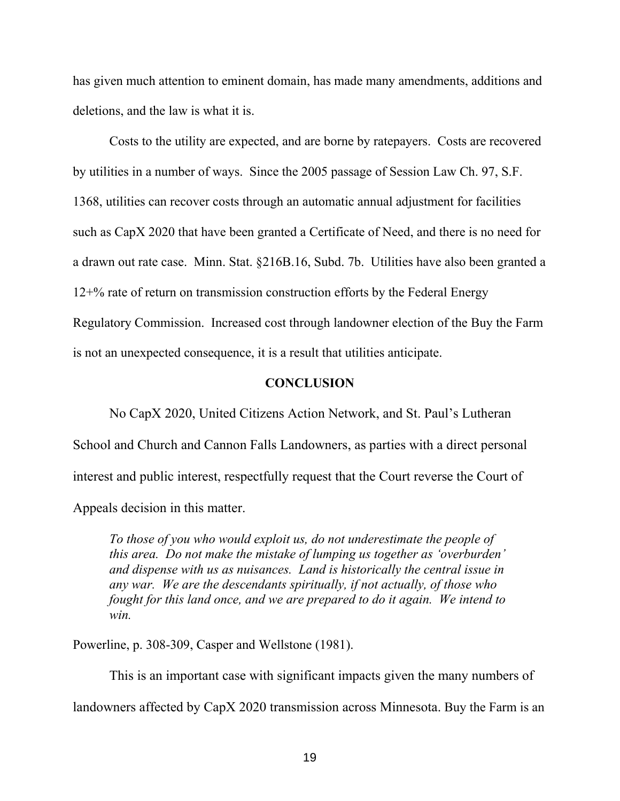has given much attention to eminent domain, has made many amendments, additions and deletions, and the law is what it is.

 Costs to the utility are expected, and are borne by ratepayers. Costs are recovered by utilities in a number of ways. Since the 2005 passage of Session Law Ch. 97, S.F. 1368, utilities can recover costs through an automatic annual adjustment for facilities such as CapX 2020 that have been granted a Certificate of Need, and there is no need for a drawn out rate case. Minn. Stat. §216B.16, Subd. 7b. Utilities have also been granted a 12+% rate of return on transmission construction efforts by the Federal Energy Regulatory Commission. Increased cost through landowner election of the Buy the Farm is not an unexpected consequence, it is a result that utilities anticipate.

#### **CONCLUSION**

No CapX 2020, United Citizens Action Network, and St. Paul's Lutheran School and Church and Cannon Falls Landowners, as parties with a direct personal interest and public interest, respectfully request that the Court reverse the Court of Appeals decision in this matter.

*To those of you who would exploit us, do not underestimate the people of this area. Do not make the mistake of lumping us together as 'overburden' and dispense with us as nuisances. Land is historically the central issue in any war. We are the descendants spiritually, if not actually, of those who fought for this land once, and we are prepared to do it again. We intend to win.* 

Powerline, p. 308-309, Casper and Wellstone (1981).

This is an important case with significant impacts given the many numbers of landowners affected by CapX 2020 transmission across Minnesota. Buy the Farm is an